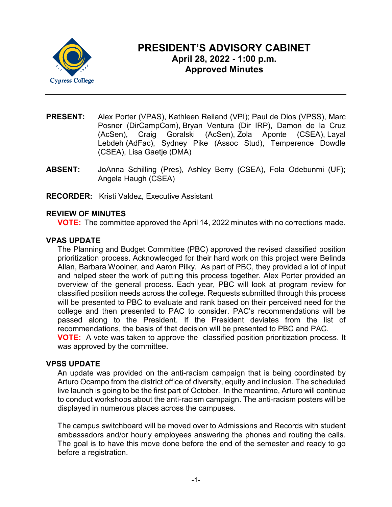

# **PRESIDENT'S ADVISORY CABINET April 28, 2022 - 1:00 p.m. Approved Minutes**

- **PRESENT:** Alex Porter (VPAS), Kathleen Reiland (VPI); Paul de Dios (VPSS), Marc Posner (DirCampCom), Bryan Ventura (Dir IRP), Damon de la Cruz (AcSen), Craig Goralski (AcSen), Zola Aponte (CSEA), Layal Lebdeh (AdFac), Sydney Pike (Assoc Stud), Temperence Dowdle (CSEA), Lisa Gaetje (DMA)
- **ABSENT:** JoAnna Schilling (Pres), Ashley Berry (CSEA), Fola Odebunmi (UF); Angela Haugh (CSEA)
- **RECORDER:** Kristi Valdez, Executive Assistant

## **REVIEW OF MINUTES**

**VOTE:** The committee approved the April 14, 2022 minutes with no corrections made.

## **VPAS UPDATE**

The Planning and Budget Committee (PBC) approved the revised classified position prioritization process. Acknowledged for their hard work on this project were Belinda Allan, Barbara Woolner, and Aaron Pilky. As part of PBC, they provided a lot of input and helped steer the work of putting this process together. Alex Porter provided an overview of the general process. Each year, PBC will look at program review for classified position needs across the college. Requests submitted through this process will be presented to PBC to evaluate and rank based on their perceived need for the college and then presented to PAC to consider. PAC's recommendations will be passed along to the President. If the President deviates from the list of recommendations, the basis of that decision will be presented to PBC and PAC. **VOTE:** A vote was taken to approve the classified position prioritization process. It

was approved by the committee.

#### **VPSS UPDATE**

An update was provided on the anti-racism campaign that is being coordinated by Arturo Ocampo from the district office of diversity, equity and inclusion. The scheduled live launch is going to be the first part of October. In the meantime, Arturo will continue to conduct workshops about the anti-racism campaign. The anti-racism posters will be displayed in numerous places across the campuses.

The campus switchboard will be moved over to Admissions and Records with student ambassadors and/or hourly employees answering the phones and routing the calls. The goal is to have this move done before the end of the semester and ready to go before a registration.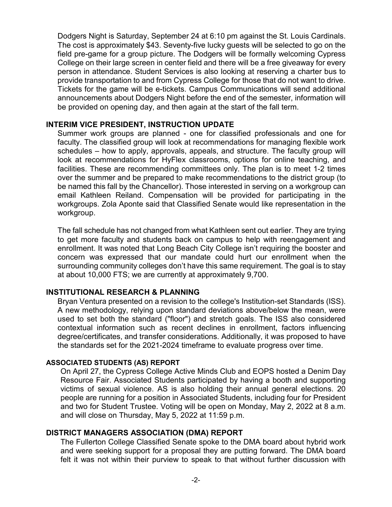Dodgers Night is Saturday, September 24 at 6:10 pm against the St. Louis Cardinals. The cost is approximately \$43. Seventy-five lucky guests will be selected to go on the field pre-game for a group picture. The Dodgers will be formally welcoming Cypress College on their large screen in center field and there will be a free giveaway for every person in attendance. Student Services is also looking at reserving a charter bus to provide transportation to and from Cypress College for those that do not want to drive. Tickets for the game will be e-tickets. Campus Communications will send additional announcements about Dodgers Night before the end of the semester, information will be provided on opening day, and then again at the start of the fall term.

#### **INTERIM VICE PRESIDENT, INSTRUCTION UPDATE**

Summer work groups are planned - one for classified professionals and one for faculty. The classified group will look at recommendations for managing flexible work schedules – how to apply, approvals, appeals, and structure. The faculty group will look at recommendations for HyFlex classrooms, options for online teaching, and facilities. These are recommending committees only. The plan is to meet 1-2 times over the summer and be prepared to make recommendations to the district group (to be named this fall by the Chancellor). Those interested in serving on a workgroup can email Kathleen Reiland. Compensation will be provided for participating in the workgroups. Zola Aponte said that Classified Senate would like representation in the workgroup.

The fall schedule has not changed from what Kathleen sent out earlier. They are trying to get more faculty and students back on campus to help with reengagement and enrollment. It was noted that Long Beach City College isn't requiring the booster and concern was expressed that our mandate could hurt our enrollment when the surrounding community colleges don't have this same requirement. The goal is to stay at about 10,000 FTS; we are currently at approximately 9,700.

#### **INSTITUTIONAL RESEARCH & PLANNING**

Bryan Ventura presented on a revision to the college's Institution-set Standards (ISS). A new methodology, relying upon standard deviations above/below the mean, were used to set both the standard ("floor") and stretch goals. The ISS also considered contextual information such as recent declines in enrollment, factors influencing degree/certificates, and transfer considerations. Additionally, it was proposed to have the standards set for the 2021-2024 timeframe to evaluate progress over time.

#### **ASSOCIATED STUDENTS (AS) REPORT**

On April 27, the Cypress College Active Minds Club and EOPS hosted a Denim Day Resource Fair. Associated Students participated by having a booth and supporting victims of sexual violence. AS is also holding their annual general elections. 20 people are running for a position in Associated Students, including four for President and two for Student Trustee. Voting will be open on Monday, May 2, 2022 at 8 a.m. and will close on Thursday, May 5, 2022 at 11:59 p.m.

#### **DISTRICT MANAGERS ASSOCIATION (DMA) REPORT**

The Fullerton College Classified Senate spoke to the DMA board about hybrid work and were seeking support for a proposal they are putting forward. The DMA board felt it was not within their purview to speak to that without further discussion with